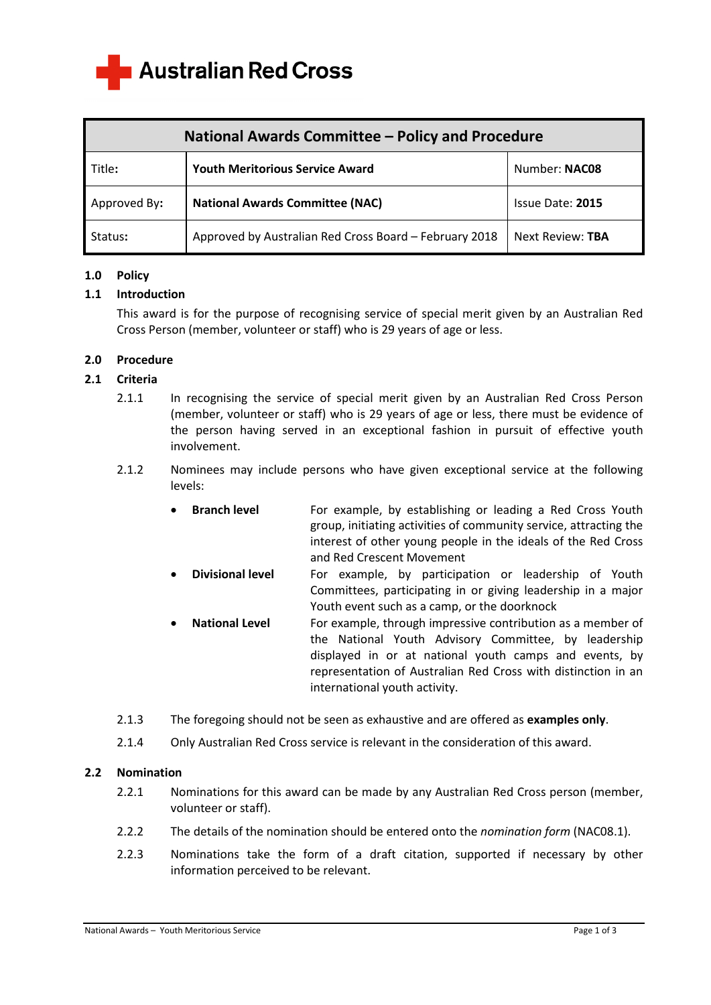**Australian Red Cross** 

| National Awards Committee - Policy and Procedure |                                                        |                  |
|--------------------------------------------------|--------------------------------------------------------|------------------|
| Title:                                           | <b>Youth Meritorious Service Award</b>                 | Number: NAC08    |
| Approved By:                                     | <b>National Awards Committee (NAC)</b>                 | Issue Date: 2015 |
| Status:                                          | Approved by Australian Red Cross Board - February 2018 | Next Review: TBA |

# **1.0 Policy**

# **1.1 Introduction**

 This award is for the purpose of recognising service of special merit given by an Australian Red Cross Person (member, volunteer or staff) who is 29 years of age or less.

# **2.0 Procedure**

# **2.1 Criteria**

- 2.1.1 In recognising the service of special merit given by an Australian Red Cross Person (member, volunteer or staff) who is 29 years of age or less, there must be evidence of the person having served in an exceptional fashion in pursuit of effective youth involvement.
- 2.1.2 Nominees may include persons who have given exceptional service at the following levels:
	- **Branch level** For example, by establishing or leading a Red Cross Youth group, initiating activities of community service, attracting the interest of other young people in the ideals of the Red Cross and Red Crescent Movement
	- **Divisional level** For example, by participation or leadership of Youth Committees, participating in or giving leadership in a major Youth event such as a camp, or the doorknock
	- **National Level** For example, through impressive contribution as a member of the National Youth Advisory Committee, by leadership displayed in or at national youth camps and events, by representation of Australian Red Cross with distinction in an international youth activity.
- 2.1.3 The foregoing should not be seen as exhaustive and are offered as **examples only**.
- 2.1.4 Only Australian Red Cross service is relevant in the consideration of this award.

# **2.2 Nomination**

- 2.2.1 Nominations for this award can be made by any Australian Red Cross person (member, volunteer or staff).
- 2.2.2 The details of the nomination should be entered onto the *nomination form* (NAC08.1).
- 2.2.3 Nominations take the form of a draft citation, supported if necessary by other information perceived to be relevant.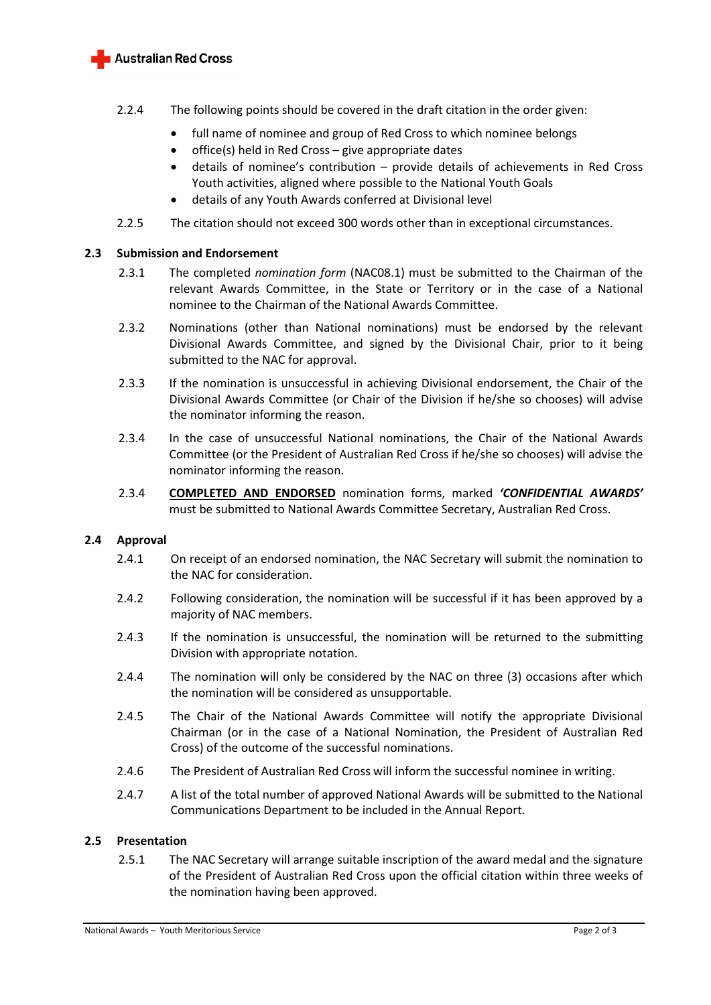

- 2.2.4 The following points should be covered in the draft citation in the order given:
	- full name of nominee and group of Red Cross to which nominee belongs
	- office(s) held in Red Cross give appropriate dates
	- details of nominee's contribution provide details of achievements in Red Cross Youth activities, aligned where possible to the National Youth Goals
	- details of any Youth Awards conferred at Divisional level
- 2.2.5 The citation should not exceed 300 words other than in exceptional circumstances.

## **2.3 Submission and Endorsement**

- 2.3.1 The completed *nomination form* (NAC08.1) must be submitted to the Chairman of the relevant Awards Committee, in the State or Territory or in the case of a National nominee to the Chairman of the National Awards Committee.
- 2.3.2 Nominations (other than National nominations) must be endorsed by the relevant Divisional Awards Committee, and signed by the Divisional Chair, prior to it being submitted to the NAC for approval.
- 2.3.3 If the nomination is unsuccessful in achieving Divisional endorsement, the Chair of the Divisional Awards Committee (or Chair of the Division if he/she so chooses) will advise the nominator informing the reason.
- 2.3.4 In the case of unsuccessful National nominations, the Chair of the National Awards Committee (or the President of Australian Red Cross if he/she so chooses) will advise the nominator informing the reason.
- 2.3.4 **COMPLETED AND ENDORSED** nomination forms, marked *'CONFIDENTIAL AWARDS'* must be submitted to National Awards Committee Secretary, Australian Red Cross.

# **2.4 Approval**

- 2.4.1 On receipt of an endorsed nomination, the NAC Secretary will submit the nomination to the NAC for consideration.
- 2.4.2 Following consideration, the nomination will be successful if it has been approved by a majority of NAC members.
- 2.4.3 If the nomination is unsuccessful, the nomination will be returned to the submitting Division with appropriate notation.
- 2.4.4 The nomination will only be considered by the NAC on three (3) occasions after which the nomination will be considered as unsupportable.
- 2.4.5 The Chair of the National Awards Committee will notify the appropriate Divisional Chairman (or in the case of a National Nomination, the President of Australian Red Cross) of the outcome of the successful nominations.
- 2.4.6 The President of Australian Red Cross will inform the successful nominee in writing.
- 2.4.7 A list of the total number of approved National Awards will be submitted to the National Communications Department to be included in the Annual Report.

# **2.5 Presentation**

2.5.1 The NAC Secretary will arrange suitable inscription of the award medal and the signature of the President of Australian Red Cross upon the official citation within three weeks of the nomination having been approved.